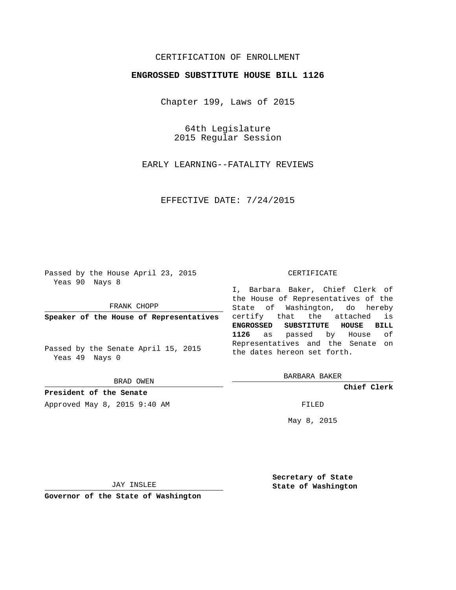## CERTIFICATION OF ENROLLMENT

## **ENGROSSED SUBSTITUTE HOUSE BILL 1126**

Chapter 199, Laws of 2015

64th Legislature 2015 Regular Session

EARLY LEARNING--FATALITY REVIEWS

EFFECTIVE DATE: 7/24/2015

Passed by the House April 23, 2015 Yeas 90 Nays 8

FRANK CHOPP

**Speaker of the House of Representatives**

Passed by the Senate April 15, 2015 Yeas 49 Nays 0

BRAD OWEN

**President of the Senate**

Approved May 8, 2015 9:40 AM FILED

#### CERTIFICATE

I, Barbara Baker, Chief Clerk of the House of Representatives of the State of Washington, do hereby certify that the attached is **ENGROSSED SUBSTITUTE HOUSE BILL 1126** as passed by House of Representatives and the Senate on the dates hereon set forth.

BARBARA BAKER

**Chief Clerk**

May 8, 2015

JAY INSLEE

**Governor of the State of Washington**

**Secretary of State State of Washington**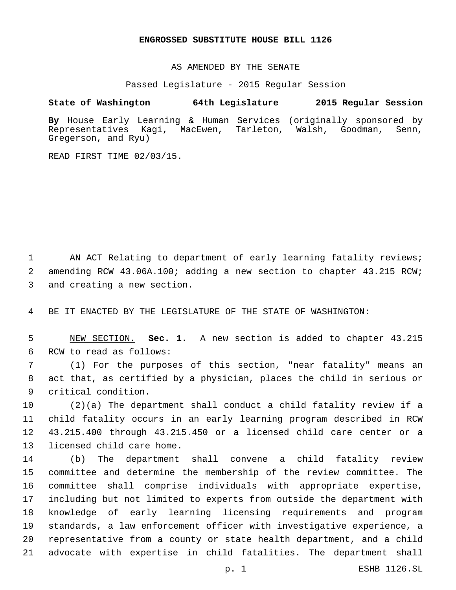### **ENGROSSED SUBSTITUTE HOUSE BILL 1126**

AS AMENDED BY THE SENATE

Passed Legislature - 2015 Regular Session

# **State of Washington 64th Legislature 2015 Regular Session**

**By** House Early Learning & Human Services (originally sponsored by Representatives Kagi, MacEwen, Tarleton, Walsh, Goodman, Senn, Gregerson, and Ryu)

READ FIRST TIME 02/03/15.

1 AN ACT Relating to department of early learning fatality reviews; 2 amending RCW 43.06A.100; adding a new section to chapter 43.215 RCW; 3 and creating a new section.

4 BE IT ENACTED BY THE LEGISLATURE OF THE STATE OF WASHINGTON:

5 NEW SECTION. **Sec. 1.** A new section is added to chapter 43.215 6 RCW to read as follows:

7 (1) For the purposes of this section, "near fatality" means an 8 act that, as certified by a physician, places the child in serious or 9 critical condition.

 (2)(a) The department shall conduct a child fatality review if a child fatality occurs in an early learning program described in RCW 43.215.400 through 43.215.450 or a licensed child care center or a 13 licensed child care home.

 (b) The department shall convene a child fatality review committee and determine the membership of the review committee. The committee shall comprise individuals with appropriate expertise, including but not limited to experts from outside the department with knowledge of early learning licensing requirements and program standards, a law enforcement officer with investigative experience, a representative from a county or state health department, and a child advocate with expertise in child fatalities. The department shall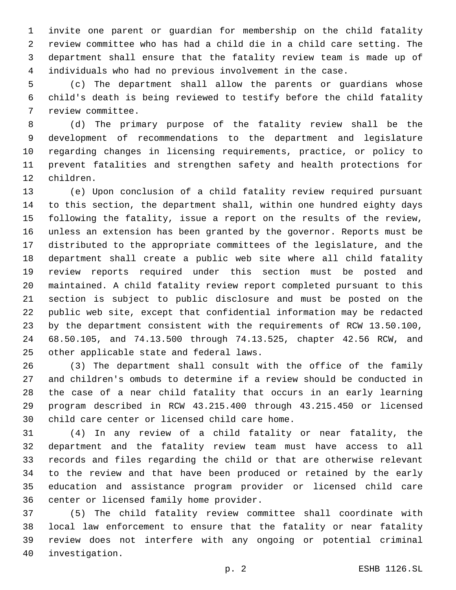invite one parent or guardian for membership on the child fatality review committee who has had a child die in a child care setting. The department shall ensure that the fatality review team is made up of individuals who had no previous involvement in the case.

 (c) The department shall allow the parents or guardians whose child's death is being reviewed to testify before the child fatality 7 review committee.

 (d) The primary purpose of the fatality review shall be the development of recommendations to the department and legislature regarding changes in licensing requirements, practice, or policy to prevent fatalities and strengthen safety and health protections for 12 children.

 (e) Upon conclusion of a child fatality review required pursuant to this section, the department shall, within one hundred eighty days following the fatality, issue a report on the results of the review, unless an extension has been granted by the governor. Reports must be distributed to the appropriate committees of the legislature, and the department shall create a public web site where all child fatality review reports required under this section must be posted and maintained. A child fatality review report completed pursuant to this section is subject to public disclosure and must be posted on the public web site, except that confidential information may be redacted by the department consistent with the requirements of RCW 13.50.100, 68.50.105, and 74.13.500 through 74.13.525, chapter 42.56 RCW, and 25 other applicable state and federal laws.

 (3) The department shall consult with the office of the family and children's ombuds to determine if a review should be conducted in the case of a near child fatality that occurs in an early learning program described in RCW 43.215.400 through 43.215.450 or licensed 30 child care center or licensed child care home.

 (4) In any review of a child fatality or near fatality, the department and the fatality review team must have access to all records and files regarding the child or that are otherwise relevant to the review and that have been produced or retained by the early education and assistance program provider or licensed child care 36 center or licensed family home provider.

 (5) The child fatality review committee shall coordinate with local law enforcement to ensure that the fatality or near fatality review does not interfere with any ongoing or potential criminal 40 investigation.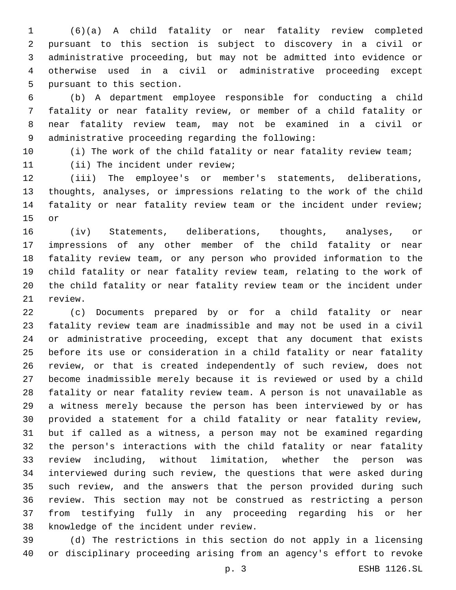(6)(a) A child fatality or near fatality review completed pursuant to this section is subject to discovery in a civil or administrative proceeding, but may not be admitted into evidence or otherwise used in a civil or administrative proceeding except 5 pursuant to this section.

 (b) A department employee responsible for conducting a child fatality or near fatality review, or member of a child fatality or near fatality review team, may not be examined in a civil or 9 administrative proceeding regarding the following:

10 (i) The work of the child fatality or near fatality review team;

11 (ii) The incident under review;

 (iii) The employee's or member's statements, deliberations, thoughts, analyses, or impressions relating to the work of the child fatality or near fatality review team or the incident under review; 15 or

 (iv) Statements, deliberations, thoughts, analyses, or impressions of any other member of the child fatality or near fatality review team, or any person who provided information to the child fatality or near fatality review team, relating to the work of the child fatality or near fatality review team or the incident under 21 review.

 (c) Documents prepared by or for a child fatality or near fatality review team are inadmissible and may not be used in a civil or administrative proceeding, except that any document that exists before its use or consideration in a child fatality or near fatality review, or that is created independently of such review, does not become inadmissible merely because it is reviewed or used by a child fatality or near fatality review team. A person is not unavailable as a witness merely because the person has been interviewed by or has provided a statement for a child fatality or near fatality review, but if called as a witness, a person may not be examined regarding the person's interactions with the child fatality or near fatality review including, without limitation, whether the person was interviewed during such review, the questions that were asked during such review, and the answers that the person provided during such review. This section may not be construed as restricting a person from testifying fully in any proceeding regarding his or her 38 knowledge of the incident under review.

 (d) The restrictions in this section do not apply in a licensing or disciplinary proceeding arising from an agency's effort to revoke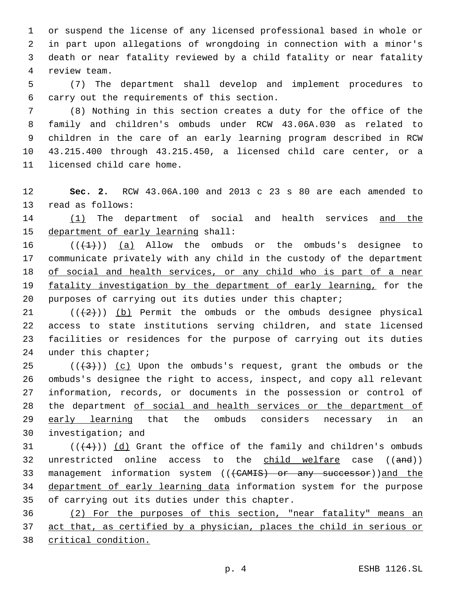or suspend the license of any licensed professional based in whole or in part upon allegations of wrongdoing in connection with a minor's death or near fatality reviewed by a child fatality or near fatality 4 review team.

5 (7) The department shall develop and implement procedures to 6 carry out the requirements of this section.

 (8) Nothing in this section creates a duty for the office of the family and children's ombuds under RCW 43.06A.030 as related to children in the care of an early learning program described in RCW 43.215.400 through 43.215.450, a licensed child care center, or a 11 licensed child care home.

12 **Sec. 2.** RCW 43.06A.100 and 2013 c 23 s 80 are each amended to 13 read as follows:

14 (1) The department of social and health services and the 15 department of early learning shall:

 $((+1))$   $(a)$  Allow the ombuds or the ombuds's designee to communicate privately with any child in the custody of the department of social and health services, or any child who is part of a near 19 fatality investigation by the department of early learning, for the purposes of carrying out its duties under this chapter;

 $((+2+))$  (b) Permit the ombuds or the ombuds designee physical access to state institutions serving children, and state licensed facilities or residences for the purpose of carrying out its duties 24 under this chapter;

 ( $(\frac{43}{})$ ) (c) Upon the ombuds's request, grant the ombuds or the ombuds's designee the right to access, inspect, and copy all relevant information, records, or documents in the possession or control of the department of social and health services or the department of 29 early learning that the ombuds considers necessary in an 30 investigation; and

 $(1 + 4)$ ) (d) Grant the office of the family and children's ombuds 32 unrestricted online access to the child welfare case ((and)) 33 management information system (((CAMIS) or any successor))and the 34 department of early learning data information system for the purpose 35 of carrying out its duties under this chapter.

36 (2) For the purposes of this section, "near fatality" means an 37 act that, as certified by a physician, places the child in serious or 38 critical condition.